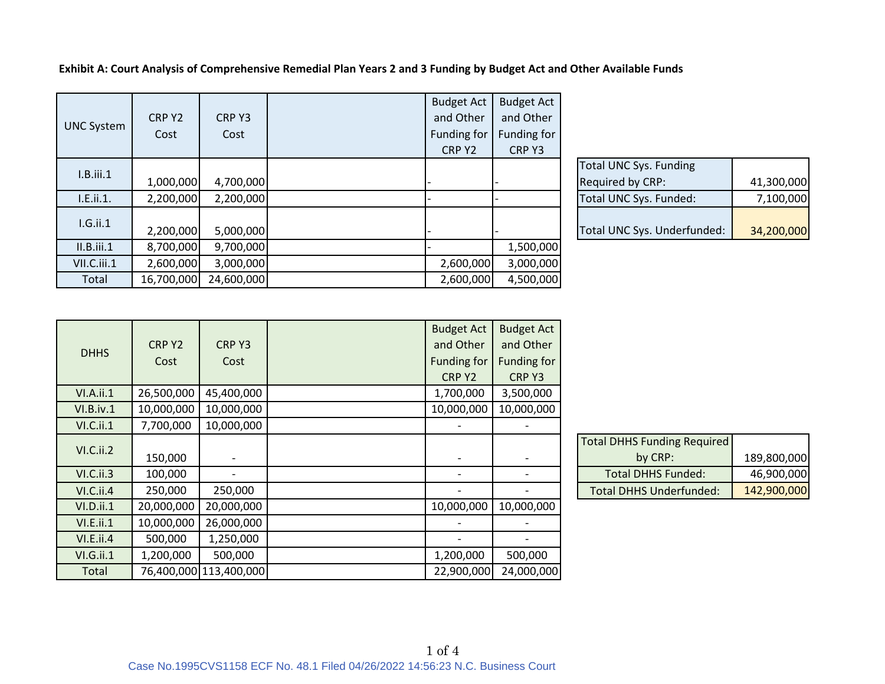|                   |            |            | <b>Budget Act</b> | <b>Budget Act</b> |                               |            |
|-------------------|------------|------------|-------------------|-------------------|-------------------------------|------------|
| <b>UNC System</b> | CRP Y2     | CRP Y3     | and Other         | and Other         |                               |            |
|                   | Cost       | Cost       | Funding for       | Funding for       |                               |            |
|                   |            |            | CRP Y2            | CRP Y3            |                               |            |
| I.B.iii.1         |            |            |                   |                   | <b>Total UNC Sys. Funding</b> |            |
|                   | 1,000,000  | 4,700,000  |                   |                   | Required by CRP:              | 41,300,000 |
| I.E.ii.1.         | 2,200,000  | 2,200,000  |                   |                   | Total UNC Sys. Funded:        | 7,100,000  |
| $I.G.$ ii.1       |            |            |                   |                   |                               |            |
|                   | 2,200,000  | 5,000,000  |                   |                   | Total UNC Sys. Underfunded:   | 34,200,000 |
| II.B. iii. 1      | 8,700,000  | 9,700,000  |                   | 1,500,000         |                               |            |
| VII.C.iii.1       | 2,600,000  | 3,000,000  | 2,600,000         | 3,000,000         |                               |            |
| Total             | 16,700,000 | 24,600,000 | 2,600,000         | 4,500,000         |                               |            |

**Exhibit A: Court Analysis of Comprehensive Remedial Plan Years 2 and 3 Funding by Budget Act and Other Available Funds**

| <b>Total UNC Sys. Funding</b> |            |
|-------------------------------|------------|
| Required by CRP:              | 41,300,000 |
| Total UNC Sys. Funded:        | 7,100,000  |
|                               |            |
| Total UNC Sys. Underfunded:   | 34,200,000 |

|             |            |                        | <b>Budget Act</b>        | <b>Budget Act</b> |                                    |             |
|-------------|------------|------------------------|--------------------------|-------------------|------------------------------------|-------------|
| <b>DHHS</b> | CRP Y2     | CRP Y3                 | and Other                | and Other         |                                    |             |
|             | Cost       | Cost                   | Funding for              | Funding for       |                                    |             |
|             |            |                        | CRP Y2                   | CRP Y3            |                                    |             |
| VI.A.ii.1   | 26,500,000 | 45,400,000             | 1,700,000                | 3,500,000         |                                    |             |
| VI.B.iv.1   | 10,000,000 | 10,000,000             | 10,000,000               | 10,000,000        |                                    |             |
| VI.C.ii.1   | 7,700,000  | 10,000,000             |                          |                   |                                    |             |
| VI.C.ii.2   |            |                        |                          |                   | <b>Total DHHS Funding Required</b> |             |
|             | 150,000    |                        |                          |                   | by CRP:                            | 189,800,000 |
| VI.C.ii.3   | 100,000    |                        | $\overline{\phantom{0}}$ |                   | <b>Total DHHS Funded:</b>          | 46,900,000  |
| VI.C.ii.4   | 250,000    | 250,000                |                          |                   | <b>Total DHHS Underfunded:</b>     | 142,900,000 |
| VI.D.ii.1   | 20,000,000 | 20,000,000             | 10,000,000               | 10,000,000        |                                    |             |
| VI.E.ii.1   | 10,000,000 | 26,000,000             |                          |                   |                                    |             |
| VI.E.ii.4   | 500,000    | 1,250,000              |                          |                   |                                    |             |
| VI.G.ii.1   | 1,200,000  | 500,000                | 1,200,000                | 500,000           |                                    |             |
| Total       |            | 76,400,000 113,400,000 | 22,900,000               | 24,000,000        |                                    |             |

| <b>Total DHHS Funding Required</b> |             |
|------------------------------------|-------------|
| by CRP:                            | 189,800,000 |
| <b>Total DHHS Funded:</b>          | 46,900,000  |
| <b>Total DHHS Underfunded:</b>     | 142,900,000 |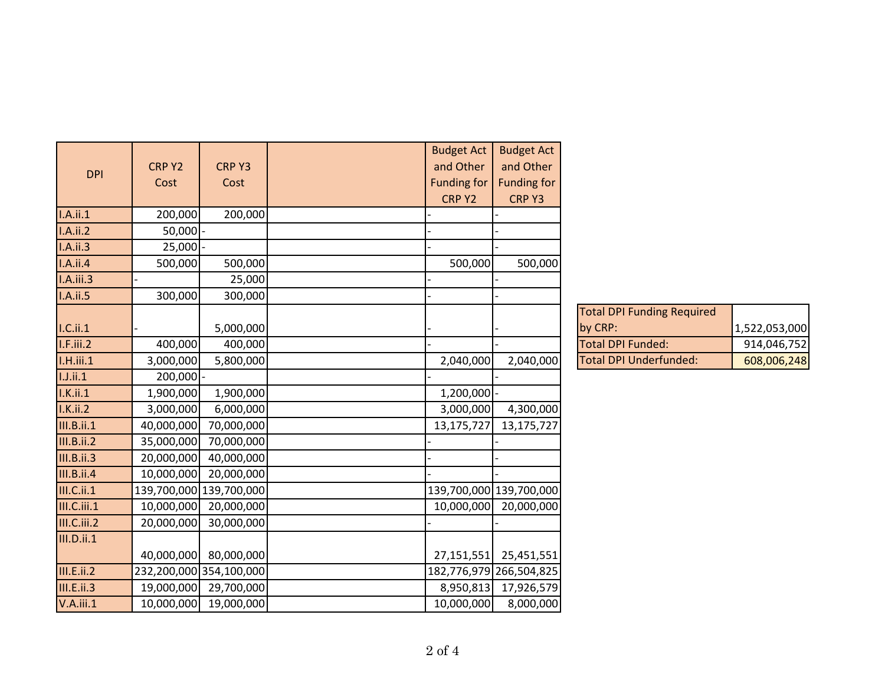|                   |             |                         | <b>Budget Act</b>  | <b>Budget Act</b>       |                                   |               |
|-------------------|-------------|-------------------------|--------------------|-------------------------|-----------------------------------|---------------|
| <b>DPI</b>        | CRP Y2      | CRP Y3                  | and Other          | and Other               |                                   |               |
|                   | Cost        | Cost                    | <b>Funding for</b> | <b>Funding for</b>      |                                   |               |
|                   |             |                         | CRP Y2             | CRP Y3                  |                                   |               |
| I.A.ii.1          | 200,000     | 200,000                 |                    |                         |                                   |               |
| I.A.ii.2          | $50,000$ -  |                         |                    |                         |                                   |               |
| I.A.ii.3          | $25,000$ -  |                         |                    |                         |                                   |               |
| I.A.ii.4          | 500,000     | 500,000                 | 500,000            | 500,000                 |                                   |               |
| I.A.iii.3         |             | 25,000                  |                    |                         |                                   |               |
| I.A.ii.5          | 300,000     | 300,000                 |                    |                         |                                   |               |
|                   |             |                         |                    |                         | <b>Total DPI Funding Required</b> |               |
| I.C.ii.1          |             | 5,000,000               |                    |                         | by CRP:                           | 1,522,053,000 |
| I.F.iii.2         | 400,000     | 400,000                 |                    |                         | <b>Total DPI Funded:</b>          | 914,046,752   |
| I.H.iii.1         | 3,000,000   | 5,800,000               | 2,040,000          | 2,040,000               | <b>Total DPI Underfunded:</b>     | 608,006,248   |
| 1.1.ii.1          | $200,000$ - |                         |                    |                         |                                   |               |
| I.K.ii.1          | 1,900,000   | 1,900,000               | 1,200,000          |                         |                                   |               |
| I.K.ii.2          | 3,000,000   | 6,000,000               | 3,000,000          | 4,300,000               |                                   |               |
| III.B.ii.1        | 40,000,000  | 70,000,000              | 13,175,727         | 13,175,727              |                                   |               |
| <b>III.B.ii.2</b> | 35,000,000  | 70,000,000              |                    |                         |                                   |               |
| <b>III.B.ii.3</b> | 20,000,000  | 40,000,000              |                    |                         |                                   |               |
| <b>III.B.ii.4</b> | 10,000,000  | 20,000,000              |                    |                         |                                   |               |
| III.C.ii.1        |             | 139,700,000 139,700,000 |                    | 139,700,000 139,700,000 |                                   |               |
| III.C.iii.1       | 10,000,000  | 20,000,000              | 10,000,000         | 20,000,000              |                                   |               |
| III.C.iii.2       | 20,000,000  | 30,000,000              |                    |                         |                                   |               |
| III.D.ii.1        |             |                         |                    |                         |                                   |               |
|                   | 40,000,000  | 80,000,000              | 27,151,551         | 25,451,551              |                                   |               |
| III.E.ii.2        |             | 232,200,000 354,100,000 |                    | 182,776,979 266,504,825 |                                   |               |
| <b>III.E.ii.3</b> |             | 19,000,000 29,700,000   |                    | 8,950,813 17,926,579    |                                   |               |
| $V.A.$ iii. $1$   |             | 10,000,000 19,000,000   | 10,000,000         | 8,000,000               |                                   |               |
|                   |             |                         |                    |                         |                                   |               |

| <b>Total DPI Funding Required</b> |               |
|-----------------------------------|---------------|
| by CRP:                           | 1,522,053,000 |
| <b>Total DPI Funded:</b>          | 914,046,752   |
| <b>Total DPI Underfunded:</b>     | 608,006,248   |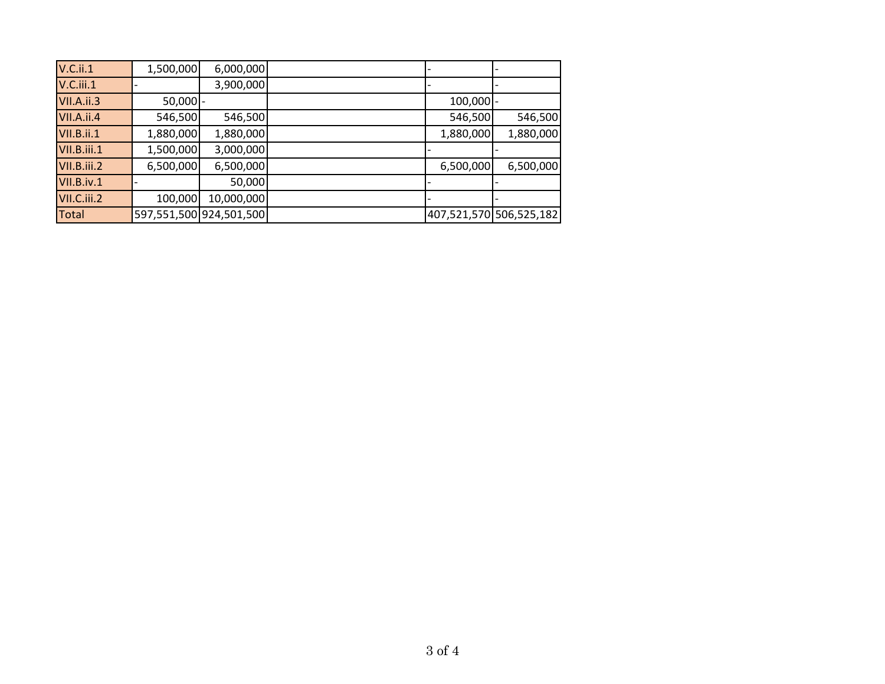| $V.C.$ ii.1  | 1,500,000  | 6,000,000               |             |                         |
|--------------|------------|-------------------------|-------------|-------------------------|
| $V.C.$ iii.1 |            | 3,900,000               |             |                         |
| VII.A.ii.3   | $50,000$ - |                         | $100,000$ - |                         |
| VII.A.ii.4   | 546,500    | 546,500                 | 546,500     | 546,500                 |
| VII.B.ii.1   | 1,880,000  | 1,880,000               | 1,880,000   | 1,880,000               |
| VII.B.iii.1  | 1,500,000  | 3,000,000               |             |                         |
| VII.B.iii.2  | 6,500,000  | 6,500,000               | 6,500,000   | 6,500,000               |
| VII.B.iv.1   |            | 50,000                  |             |                         |
| VII.C.iii.2  | 100,000    | 10,000,000              |             |                         |
| <b>Total</b> |            | 597,551,500 924,501,500 |             | 407,521,570 506,525,182 |